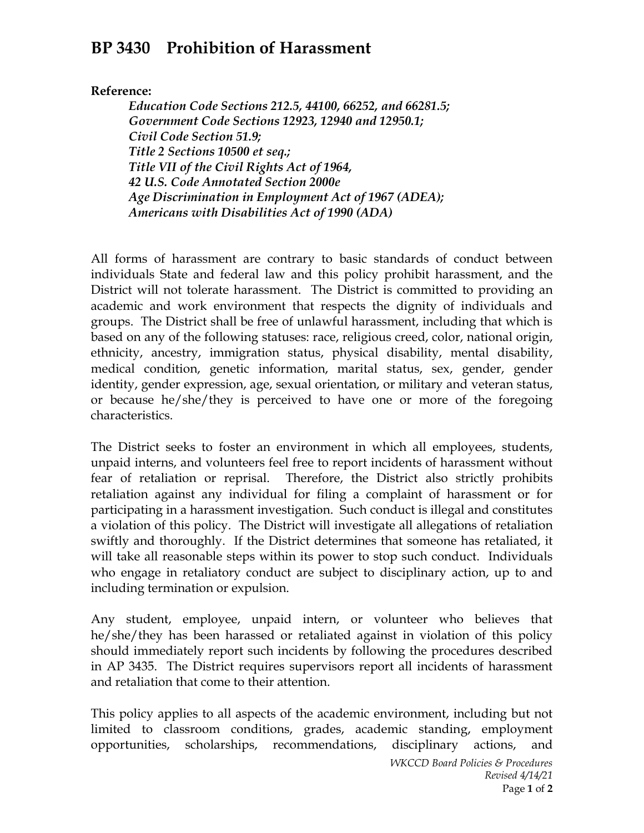## **BP 3430 Prohibition of Harassment**

**Reference:**

*Education Code Sections 212.5, 44100, 66252, and 66281.5; Government Code Sections 12923, 12940 and 12950.1; Civil Code Section 51.9; Title 2 Sections 10500 et seq.; Title VII of the Civil Rights Act of 1964, 42 U.S. Code Annotated Section 2000e Age Discrimination in Employment Act of 1967 (ADEA); Americans with Disabilities Act of 1990 (ADA)* 

All forms of harassment are contrary to basic standards of conduct between individuals State and federal law and this policy prohibit harassment, and the District will not tolerate harassment. The District is committed to providing an academic and work environment that respects the dignity of individuals and groups. The District shall be free of unlawful harassment, including that which is based on any of the following statuses: race, religious creed, color, national origin, ethnicity, ancestry, immigration status, physical disability, mental disability, medical condition, genetic information, marital status, sex, gender, gender identity, gender expression, age, sexual orientation, or military and veteran status, or because he/she/they is perceived to have one or more of the foregoing characteristics.

The District seeks to foster an environment in which all employees, students, unpaid interns, and volunteers feel free to report incidents of harassment without fear of retaliation or reprisal. Therefore, the District also strictly prohibits retaliation against any individual for filing a complaint of harassment or for participating in a harassment investigation. Such conduct is illegal and constitutes a violation of this policy. The District will investigate all allegations of retaliation swiftly and thoroughly. If the District determines that someone has retaliated, it will take all reasonable steps within its power to stop such conduct. Individuals who engage in retaliatory conduct are subject to disciplinary action, up to and including termination or expulsion.

Any student, employee, unpaid intern, or volunteer who believes that he/she/they has been harassed or retaliated against in violation of this policy should immediately report such incidents by following the procedures described in AP 3435. The District requires supervisors report all incidents of harassment and retaliation that come to their attention.

This policy applies to all aspects of the academic environment, including but not limited to classroom conditions, grades, academic standing, employment opportunities, scholarships, recommendations, disciplinary actions, and